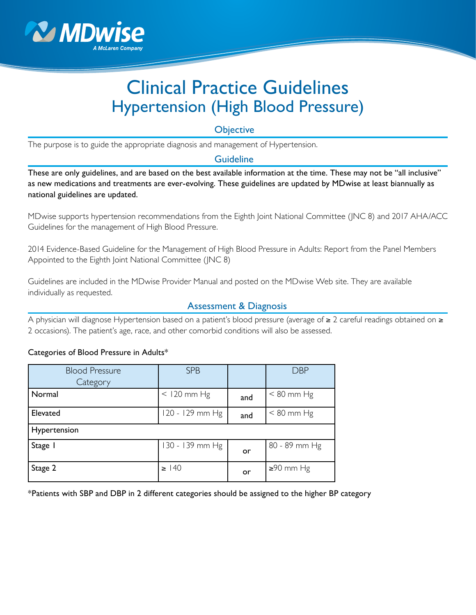

# Clinical Practice Guidelines Hypertension (High Blood Pressure)

**Objective** 

The purpose is to guide the appropriate diagnosis and management of Hypertension.

# **Guideline**

These are only guidelines, and are based on the best available information at the time. These may not be "all inclusive" as new medications and treatments are ever-evolving. These guidelines are updated by MDwise at least biannually as national guidelines are updated.

MDwise supports hypertension recommendations from the Eighth Joint National Committee (JNC 8) and 2017 AHA/ACC Guidelines for the management of High Blood Pressure.

2014 Evidence-Based Guideline for the Management of High Blood Pressure in Adults: Report from the Panel Members Appointed to the Eighth Joint National Committee (JNC 8)

Guidelines are included in the MDwise Provider Manual and posted on the MDwise Web site. They are available individually as requested.

# Assessment & Diagnosis

A physician will diagnose Hypertension based on a patient's blood pressure (average of ≥ 2 careful readings obtained on ≥ 2 occasions). The patient's age, race, and other comorbid conditions will also be assessed.

#### Categories of Blood Pressure in Adults\*

| <b>Blood Pressure</b><br>Category | <b>SPB</b>      |     | <b>DBP</b>      |  |
|-----------------------------------|-----------------|-----|-----------------|--|
| Normal                            | $<$ 120 mm Hg   | and | $< 80$ mm Hg    |  |
| Elevated                          | 120 - 129 mm Hg | and | $< 80$ mm Hg    |  |
| Hypertension                      |                 |     |                 |  |
| Stage I                           | 130 - 139 mm Hg | or  | 80 - 89 mm Hg   |  |
| Stage 2                           | $\geq$ 140      | or  | $\geq 90$ mm Hg |  |

\*Patients with SBP and DBP in 2 different categories should be assigned to the higher BP category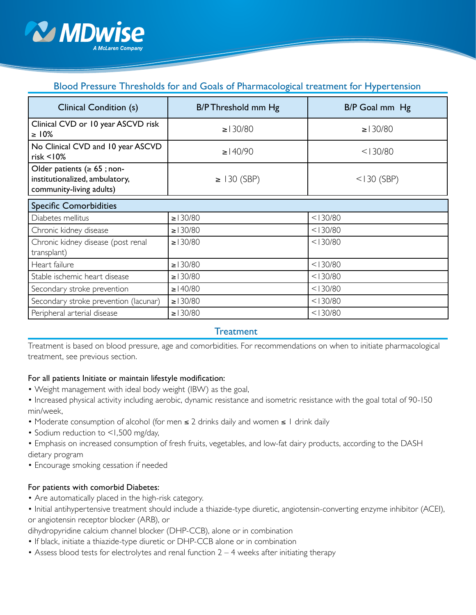

# Blood Pressure Thresholds for and Goals of Pharmacological treatment for Hypertension

| Clinical Condition (s)                                                                          | B/P Threshold mm Hg | B/P Goal mm Hg |  |  |
|-------------------------------------------------------------------------------------------------|---------------------|----------------|--|--|
| Clinical CVD or 10 year ASCVD risk<br>$\geq 10\%$                                               | $\ge 130/80$        | $\ge 130/80$   |  |  |
| No Clinical CVD and 10 year ASCVD<br>$risk < 10\%$                                              | $\geq$   40/90      | < 130/80       |  |  |
| Older patients ( $\geq 65$ ; non-<br>institutionalized, ambulatory,<br>community-living adults) | $\geq$ 130 (SBP)    | $<$   30 (SBP) |  |  |
| <b>Specific Comorbidities</b>                                                                   |                     |                |  |  |
| Diabetes mellitus                                                                               | $\ge 130/80$        | < 130/80       |  |  |
| Chronic kidney disease                                                                          | $\ge 130/80$        | < 130/80       |  |  |
| Chronic kidney disease (post renal<br>transplant)                                               | $\ge 130/80$        | < 130/80       |  |  |
| Heart failure                                                                                   | $\ge 130/80$        | < 130/80       |  |  |
| Stable ischemic heart disease                                                                   | $\ge 130/80$        | < 130/80       |  |  |
| Secondary stroke prevention                                                                     | $\geq$ 140/80       | < 130/80       |  |  |
| Secondary stroke prevention (lacunar)                                                           | $\ge 130/80$        | < 130/80       |  |  |
| Peripheral arterial disease                                                                     | $\ge 130/80$        | < 130/80       |  |  |

#### **Treatment**

Treatment is based on blood pressure, age and comorbidities. For recommendations on when to initiate pharmacological treatment, see previous section.

#### For all patients Initiate or maintain lifestyle modification:

- Weight management with ideal body weight (IBW) as the goal,
- Increased physical activity including aerobic, dynamic resistance and isometric resistance with the goal total of 90-150 min/week,
- Moderate consumption of alcohol (for men ≤ 2 drinks daily and women ≤ 1 drink daily
- Sodium reduction to <1,500 mg/day,
- Emphasis on increased consumption of fresh fruits, vegetables, and low-fat dairy products, according to the DASH dietary program
- Encourage smoking cessation if needed

#### For patients with comorbid Diabetes:

- Are automatically placed in the high-risk category.
- Initial antihypertensive treatment should include a thiazide-type diuretic, angiotensin-converting enzyme inhibitor (ACEI), or angiotensin receptor blocker (ARB), or

dihydropyridine calcium channel blocker (DHP-CCB), alone or in combination

- If black, initiate a thiazide-type diuretic or DHP-CCB alone or in combination
- Assess blood tests for electrolytes and renal function  $2 4$  weeks after initiating therapy